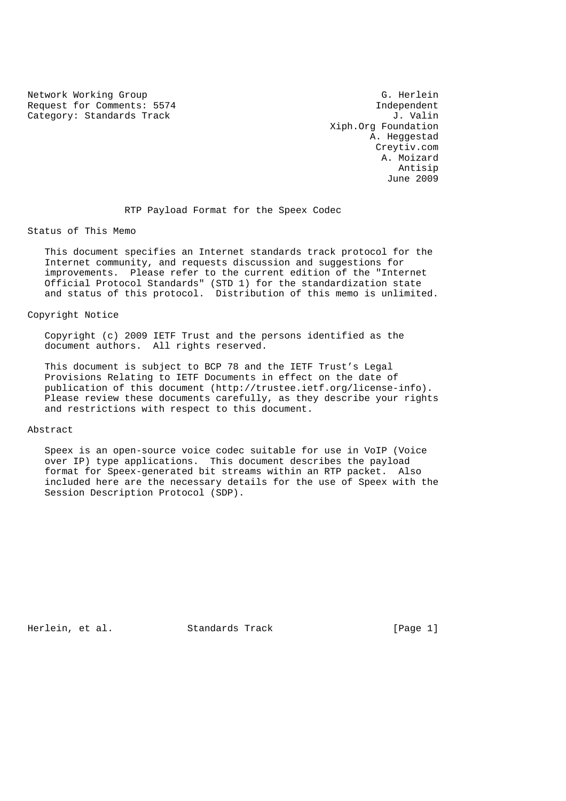Network Working Group G. Herlein Request for Comments: 5574 Independent<br>
Category: Standards Track and South Category: Standards Track Category: Standards Track

 Xiph.Org Foundation A. Heggestad Creytiv.com A. Moizard Antisip June 2009

RTP Payload Format for the Speex Codec

Status of This Memo

 This document specifies an Internet standards track protocol for the Internet community, and requests discussion and suggestions for improvements. Please refer to the current edition of the "Internet Official Protocol Standards" (STD 1) for the standardization state and status of this protocol. Distribution of this memo is unlimited.

Copyright Notice

 Copyright (c) 2009 IETF Trust and the persons identified as the document authors. All rights reserved.

 This document is subject to BCP 78 and the IETF Trust's Legal Provisions Relating to IETF Documents in effect on the date of publication of this document (http://trustee.ietf.org/license-info). Please review these documents carefully, as they describe your rights and restrictions with respect to this document.

### Abstract

 Speex is an open-source voice codec suitable for use in VoIP (Voice over IP) type applications. This document describes the payload format for Speex-generated bit streams within an RTP packet. Also included here are the necessary details for the use of Speex with the Session Description Protocol (SDP).

Herlein, et al. Standards Track [Page 1]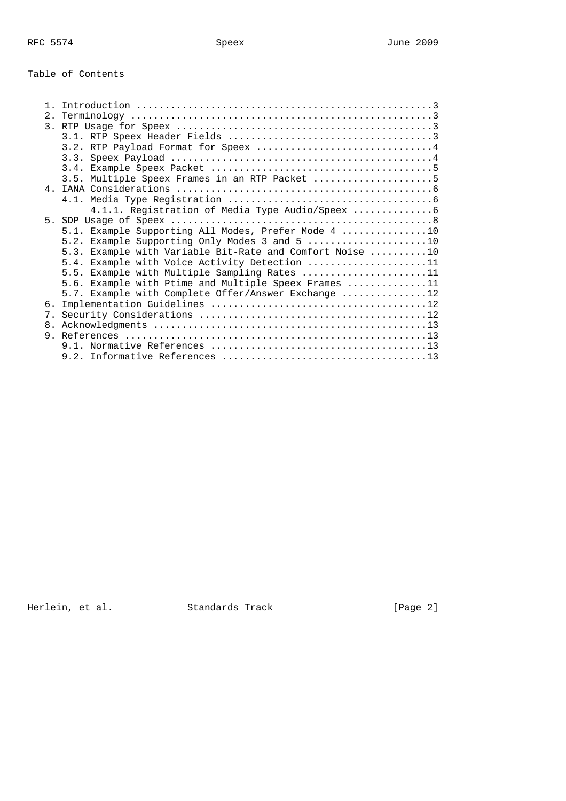# Table of Contents

|                | 3.2. RTP Payload Format for Speex 4                      |
|----------------|----------------------------------------------------------|
|                |                                                          |
|                |                                                          |
|                | 3.5. Multiple Speex Frames in an RTP Packet 5            |
|                |                                                          |
|                |                                                          |
|                |                                                          |
|                |                                                          |
|                | 5.1. Example Supporting All Modes, Prefer Mode 4 10      |
|                | 5.2. Example Supporting Only Modes 3 and 5 10            |
|                | 5.3. Example with Variable Bit-Rate and Comfort Noise 10 |
|                | 5.4. Example with Voice Activity Detection 11            |
|                | 5.5. Example with Multiple Sampling Rates 11             |
|                | 5.6. Example with Ptime and Multiple Speex Frames 11     |
|                | 5.7. Example with Complete Offer/Answer Exchange 12      |
| 6.             |                                                          |
| 7 <sub>1</sub> |                                                          |
|                |                                                          |
|                |                                                          |
|                |                                                          |
|                |                                                          |

Herlein, et al. Standards Track [Page 2]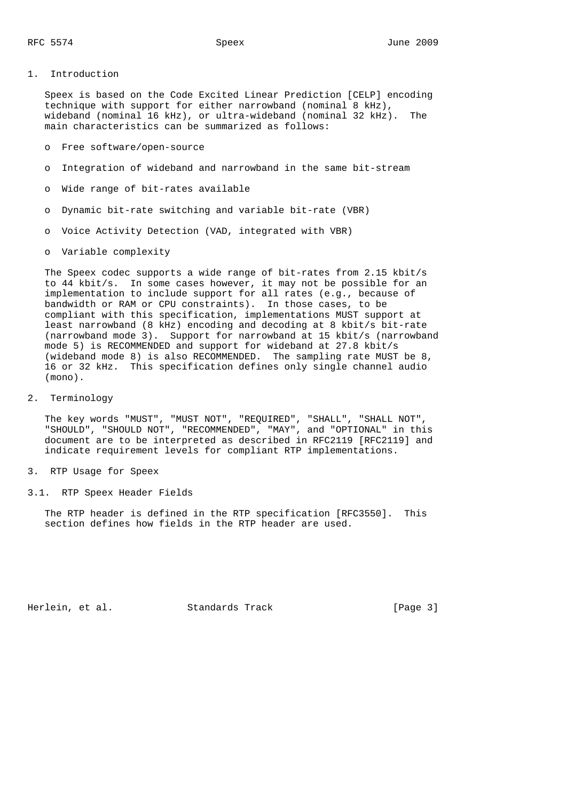1. Introduction

 Speex is based on the Code Excited Linear Prediction [CELP] encoding technique with support for either narrowband (nominal 8 kHz), wideband (nominal 16 kHz), or ultra-wideband (nominal 32 kHz). The main characteristics can be summarized as follows:

- o Free software/open-source
- o Integration of wideband and narrowband in the same bit-stream
- o Wide range of bit-rates available
- o Dynamic bit-rate switching and variable bit-rate (VBR)
- o Voice Activity Detection (VAD, integrated with VBR)
- o Variable complexity

 The Speex codec supports a wide range of bit-rates from 2.15 kbit/s to 44 kbit/s. In some cases however, it may not be possible for an implementation to include support for all rates (e.g., because of bandwidth or RAM or CPU constraints). In those cases, to be compliant with this specification, implementations MUST support at least narrowband (8 kHz) encoding and decoding at 8 kbit/s bit-rate (narrowband mode 3). Support for narrowband at 15 kbit/s (narrowband mode 5) is RECOMMENDED and support for wideband at 27.8 kbit/s (wideband mode 8) is also RECOMMENDED. The sampling rate MUST be 8, 16 or 32 kHz. This specification defines only single channel audio (mono).

2. Terminology

 The key words "MUST", "MUST NOT", "REQUIRED", "SHALL", "SHALL NOT", "SHOULD", "SHOULD NOT", "RECOMMENDED", "MAY", and "OPTIONAL" in this document are to be interpreted as described in RFC2119 [RFC2119] and indicate requirement levels for compliant RTP implementations.

- 3. RTP Usage for Speex
- 3.1. RTP Speex Header Fields

 The RTP header is defined in the RTP specification [RFC3550]. This section defines how fields in the RTP header are used.

Herlein, et al. Standards Track [Page 3]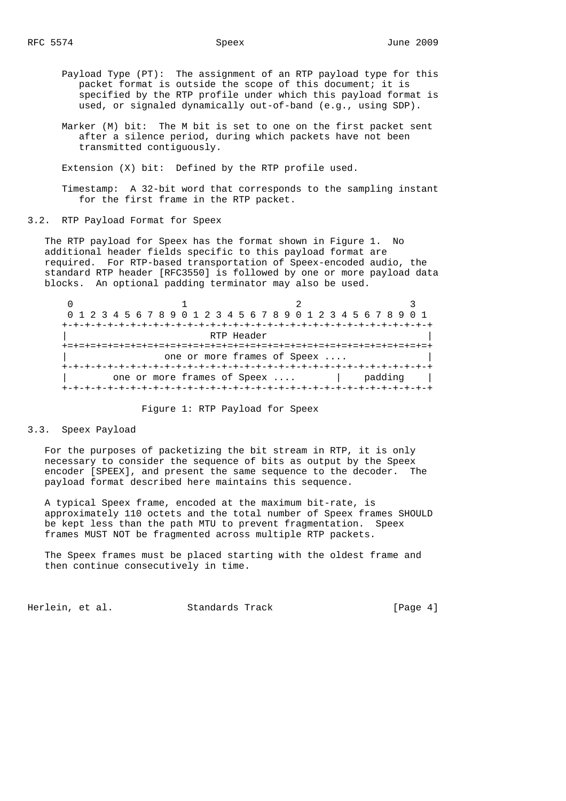- Payload Type (PT): The assignment of an RTP payload type for this packet format is outside the scope of this document; it is specified by the RTP profile under which this payload format is used, or signaled dynamically out-of-band (e.g., using SDP).
- Marker (M) bit: The M bit is set to one on the first packet sent after a silence period, during which packets have not been transmitted contiguously.

Extension (X) bit: Defined by the RTP profile used.

 Timestamp: A 32-bit word that corresponds to the sampling instant for the first frame in the RTP packet.

## 3.2. RTP Payload Format for Speex

 The RTP payload for Speex has the format shown in Figure 1. No additional header fields specific to this payload format are required. For RTP-based transportation of Speex-encoded audio, the standard RTP header [RFC3550] is followed by one or more payload data blocks. An optional padding terminator may also be used.

0  $1$  2 3 0 1 2 3 4 5 6 7 8 9 0 1 2 3 4 5 6 7 8 9 0 1 2 3 4 5 6 7 8 9 0 1 +-+-+-+-+-+-+-+-+-+-+-+-+-+-+-+-+-+-+-+-+-+-+-+-+-+-+-+-+-+-+-+-+ RTP Header +=+=+=+=+=+=+=+=+=+=+=+=+=+=+=+=+=+=+=+=+=+=+=+=+=+=+=+=+=+=+=+=+ one or more frames of Speex .... +-+-+-+-+-+-+-+-+-+-+-+-+-+-+-+-+-+-+-+-+-+-+-+-+-+-+-+-+-+-+-+-+ one or more frames of Speex .... | padding | +-+-+-+-+-+-+-+-+-+-+-+-+-+-+-+-+-+-+-+-+-+-+-+-+-+-+-+-+-+-+-+-+

Figure 1: RTP Payload for Speex

## 3.3. Speex Payload

 For the purposes of packetizing the bit stream in RTP, it is only necessary to consider the sequence of bits as output by the Speex encoder [SPEEX], and present the same sequence to the decoder. The payload format described here maintains this sequence.

 A typical Speex frame, encoded at the maximum bit-rate, is approximately 110 octets and the total number of Speex frames SHOULD be kept less than the path MTU to prevent fragmentation. Speex frames MUST NOT be fragmented across multiple RTP packets.

 The Speex frames must be placed starting with the oldest frame and then continue consecutively in time.

Herlein, et al. Standards Track [Page 4]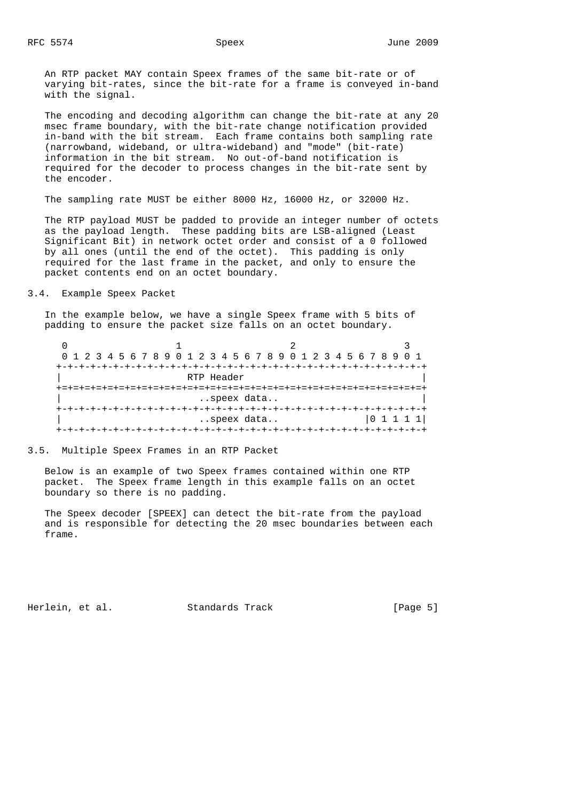An RTP packet MAY contain Speex frames of the same bit-rate or of varying bit-rates, since the bit-rate for a frame is conveyed in-band with the signal.

 The encoding and decoding algorithm can change the bit-rate at any 20 msec frame boundary, with the bit-rate change notification provided in-band with the bit stream. Each frame contains both sampling rate (narrowband, wideband, or ultra-wideband) and "mode" (bit-rate) information in the bit stream. No out-of-band notification is required for the decoder to process changes in the bit-rate sent by the encoder.

The sampling rate MUST be either 8000 Hz, 16000 Hz, or 32000 Hz.

 The RTP payload MUST be padded to provide an integer number of octets as the payload length. These padding bits are LSB-aligned (Least Significant Bit) in network octet order and consist of a 0 followed by all ones (until the end of the octet). This padding is only required for the last frame in the packet, and only to ensure the packet contents end on an octet boundary.

## 3.4. Example Speex Packet

 In the example below, we have a single Speex frame with 5 bits of padding to ensure the packet size falls on an octet boundary.

| 0 1 2 3 4 5 6 7 8 9 0 1 2 3 4 5 6 7 8 9 0 1 2 3 4 5 6 7 8 9 0 1 |               |  |
|-----------------------------------------------------------------|---------------|--|
|                                                                 |               |  |
| RTP Header                                                      |               |  |
|                                                                 |               |  |
|                                                                 | speex data    |  |
|                                                                 | ------------- |  |
|                                                                 | speex data    |  |
|                                                                 |               |  |

3.5. Multiple Speex Frames in an RTP Packet

 Below is an example of two Speex frames contained within one RTP packet. The Speex frame length in this example falls on an octet boundary so there is no padding.

 The Speex decoder [SPEEX] can detect the bit-rate from the payload and is responsible for detecting the 20 msec boundaries between each frame.

Herlein, et al. Standards Track [Page 5]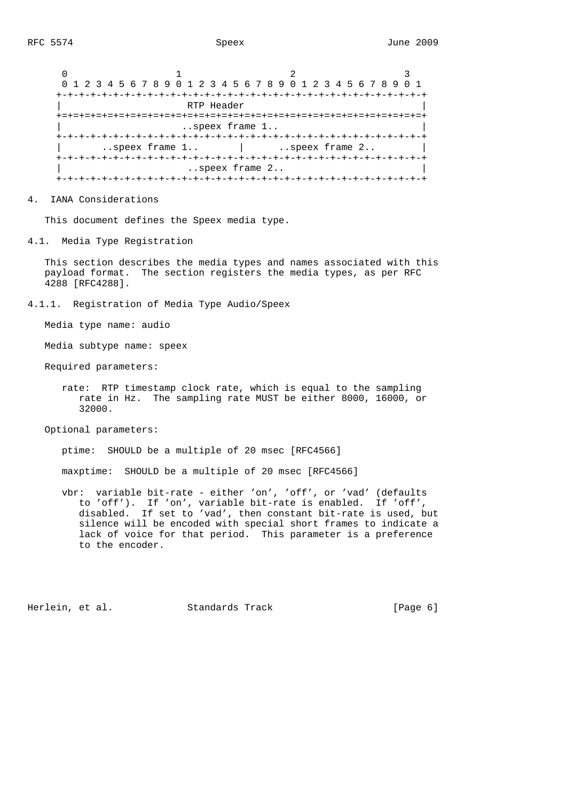| 0 1 2 3 4 5 6 7 8 9 0 1 2 3 4 5 6 7 8 9 0 1 2 3 4 5 6 7 8 9 0 1 |                       |  |
|-----------------------------------------------------------------|-----------------------|--|
|                                                                 |                       |  |
| RTP Header                                                      |                       |  |
|                                                                 |                       |  |
|                                                                 | speex frame 1         |  |
|                                                                 |                       |  |
| speex frame 1                                                   | $\vert$ speex frame 2 |  |
|                                                                 |                       |  |
|                                                                 | speex frame 2         |  |
|                                                                 |                       |  |

4. IANA Considerations

This document defines the Speex media type.

4.1. Media Type Registration

 This section describes the media types and names associated with this payload format. The section registers the media types, as per RFC 4288 [RFC4288].

4.1.1. Registration of Media Type Audio/Speex

Media type name: audio

Media subtype name: speex

Required parameters:

 rate: RTP timestamp clock rate, which is equal to the sampling rate in Hz. The sampling rate MUST be either 8000, 16000, or 32000.

Optional parameters:

ptime: SHOULD be a multiple of 20 msec [RFC4566]

maxptime: SHOULD be a multiple of 20 msec [RFC4566]

 vbr: variable bit-rate - either 'on', 'off', or 'vad' (defaults to 'off'). If 'on', variable bit-rate is enabled. If 'off', disabled. If set to 'vad', then constant bit-rate is used, but silence will be encoded with special short frames to indicate a lack of voice for that period. This parameter is a preference to the encoder.

Herlein, et al. Standards Track [Page 6]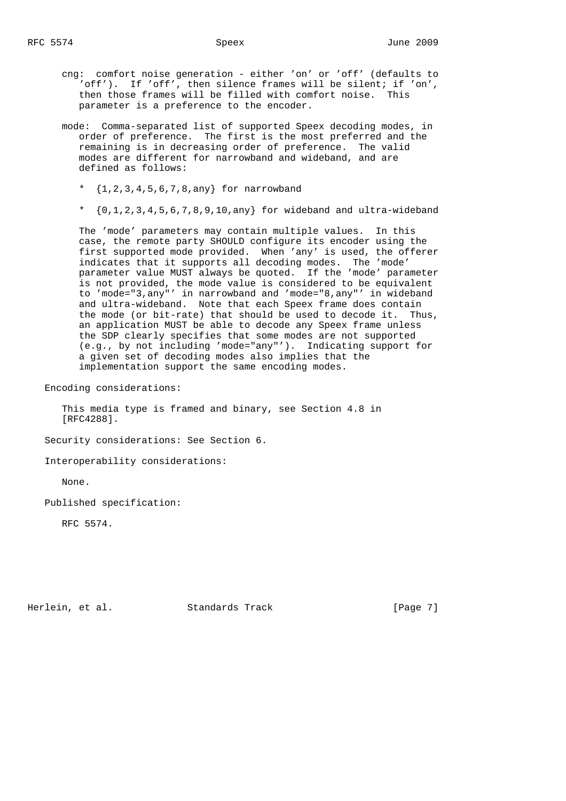- cng: comfort noise generation either 'on' or 'off' (defaults to 'off'). If 'off', then silence frames will be silent; if 'on', then those frames will be filled with comfort noise. This parameter is a preference to the encoder.
- mode: Comma-separated list of supported Speex decoding modes, in order of preference. The first is the most preferred and the remaining is in decreasing order of preference. The valid modes are different for narrowband and wideband, and are defined as follows:
	- \* {1,2,3,4,5,6,7,8,any} for narrowband
	- \* {0,1,2,3,4,5,6,7,8,9,10,any} for wideband and ultra-wideband

 The 'mode' parameters may contain multiple values. In this case, the remote party SHOULD configure its encoder using the first supported mode provided. When 'any' is used, the offerer indicates that it supports all decoding modes. The 'mode' parameter value MUST always be quoted. If the 'mode' parameter is not provided, the mode value is considered to be equivalent to 'mode="3,any"' in narrowband and 'mode="8,any"' in wideband and ultra-wideband. Note that each Speex frame does contain the mode (or bit-rate) that should be used to decode it. Thus, an application MUST be able to decode any Speex frame unless the SDP clearly specifies that some modes are not supported (e.g., by not including 'mode="any"'). Indicating support for a given set of decoding modes also implies that the implementation support the same encoding modes.

Encoding considerations:

 This media type is framed and binary, see Section 4.8 in [RFC4288].

Security considerations: See Section 6.

Interoperability considerations:

None.

Published specification:

RFC 5574.

Herlein, et al. Standards Track [Page 7]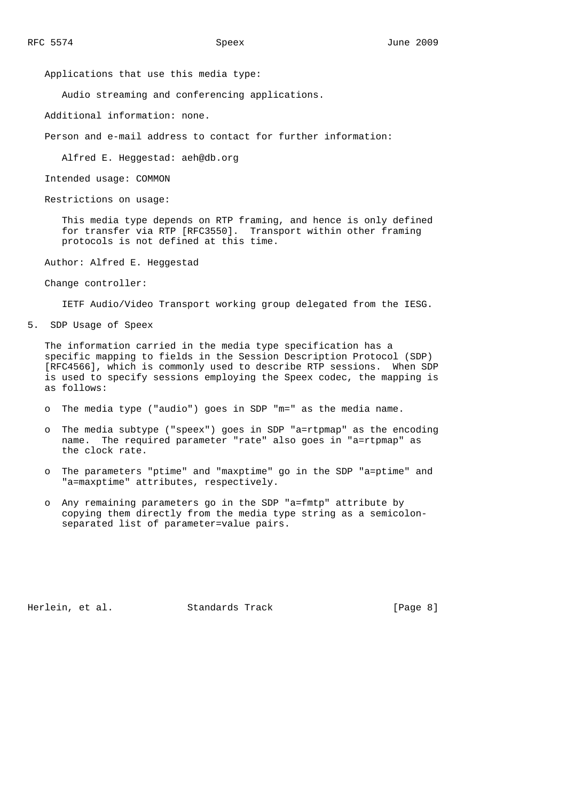Applications that use this media type:

Audio streaming and conferencing applications.

Additional information: none.

Person and e-mail address to contact for further information:

Alfred E. Heggestad: aeh@db.org

Intended usage: COMMON

Restrictions on usage:

 This media type depends on RTP framing, and hence is only defined for transfer via RTP [RFC3550]. Transport within other framing protocols is not defined at this time.

Author: Alfred E. Heggestad

Change controller:

IETF Audio/Video Transport working group delegated from the IESG.

5. SDP Usage of Speex

 The information carried in the media type specification has a specific mapping to fields in the Session Description Protocol (SDP) [RFC4566], which is commonly used to describe RTP sessions. When SDP is used to specify sessions employing the Speex codec, the mapping is as follows:

- o The media type ("audio") goes in SDP "m=" as the media name.
- o The media subtype ("speex") goes in SDP "a=rtpmap" as the encoding name. The required parameter "rate" also goes in "a=rtpmap" as the clock rate.
- o The parameters "ptime" and "maxptime" go in the SDP "a=ptime" and "a=maxptime" attributes, respectively.
- o Any remaining parameters go in the SDP "a=fmtp" attribute by copying them directly from the media type string as a semicolon separated list of parameter=value pairs.

Herlein, et al. Standards Track [Page 8]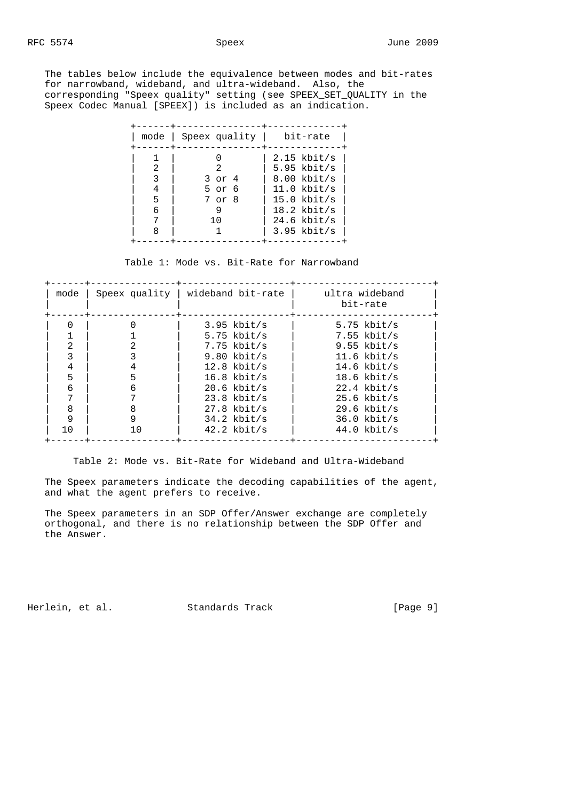The tables below include the equivalence between modes and bit-rates for narrowband, wideband, and ultra-wideband. Also, the corresponding "Speex quality" setting (see SPEEX\_SET\_QUALITY in the Speex Codec Manual [SPEEX]) is included as an indication.

| mode                  | Speex quality                         | bit-rate                                                                                                                             |  |
|-----------------------|---------------------------------------|--------------------------------------------------------------------------------------------------------------------------------------|--|
| 2<br>4<br>5<br>6<br>8 | 2<br>3 or 4<br>5 or 6<br>7 or 8<br>10 | $2.15$ kbit/s<br>$5.95$ kbit/s<br>$8.00$ kbit/s<br>$11.0$ kbit/s<br>$15.0$ kbit/s<br>$18.2$ kbit/s<br>$24.6$ kbit/s<br>$3.95$ kbit/s |  |

Table 1: Mode vs. Bit-Rate for Narrowband

| mode | Speex quality | wideband bit-rate | ultra wideband<br>bit-rate |
|------|---------------|-------------------|----------------------------|
| U    |               | $3.95$ kbit/s     | $5.75$ kbit/s              |
|      |               | $5.75$ kbit/s     | $7.55$ kbit/s              |
| 2    |               | $7.75$ kbit/s     | $9.55$ kbit/s              |
| 3    |               | $9.80$ kbit/s     | $11.6$ kbit/s              |
|      |               | $12.8$ kbit/s     | $14.6$ kbit/s              |
| 5    | 5             | $16.8$ kbit/s     | $18.6$ kbit/s              |
| б    | 6             | $20.6$ kbit/s     | $22.4$ kbit/s              |
|      |               | $23.8$ kbit/s     | $25.6$ kbit/s              |
| 8    |               | $27.8$ kbit/s     | $29.6$ kbit/s              |
| 9    | 9             | $34.2$ kbit/s     | $36.0$ kbit/s              |
|      | 10            | $42.2$ kbit/s     | $44.0$ kbit/s              |

Table 2: Mode vs. Bit-Rate for Wideband and Ultra-Wideband

 The Speex parameters indicate the decoding capabilities of the agent, and what the agent prefers to receive.

 The Speex parameters in an SDP Offer/Answer exchange are completely orthogonal, and there is no relationship between the SDP Offer and the Answer.

Herlein, et al. Standards Track [Page 9]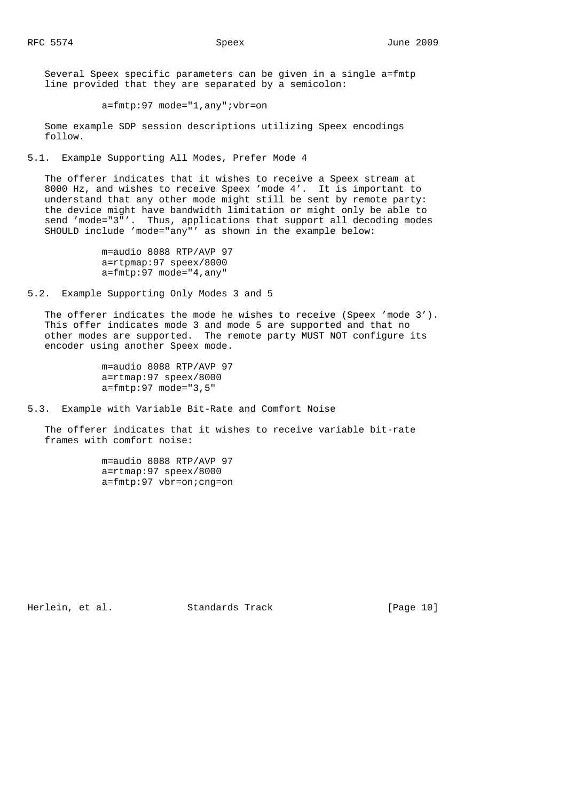Several Speex specific parameters can be given in a single a=fmtp line provided that they are separated by a semicolon:

a=fmtp:97 mode="1,any";vbr=on

 Some example SDP session descriptions utilizing Speex encodings follow.

5.1. Example Supporting All Modes, Prefer Mode 4

 The offerer indicates that it wishes to receive a Speex stream at 8000 Hz, and wishes to receive Speex 'mode 4'. It is important to understand that any other mode might still be sent by remote party: the device might have bandwidth limitation or might only be able to send 'mode="3"'. Thus, applications that support all decoding modes SHOULD include 'mode="any"' as shown in the example below:

> m=audio 8088 RTP/AVP 97 a=rtpmap:97 speex/8000 a=fmtp:97 mode="4,any"

5.2. Example Supporting Only Modes 3 and 5

 The offerer indicates the mode he wishes to receive (Speex 'mode 3'). This offer indicates mode 3 and mode 5 are supported and that no other modes are supported. The remote party MUST NOT configure its encoder using another Speex mode.

> m=audio 8088 RTP/AVP 97 a=rtmap:97 speex/8000 a=fmtp:97 mode="3,5"

5.3. Example with Variable Bit-Rate and Comfort Noise

 The offerer indicates that it wishes to receive variable bit-rate frames with comfort noise:

> m=audio 8088 RTP/AVP 97 a=rtmap:97 speex/8000 a=fmtp:97 vbr=on;cng=on

Herlein, et al. Standards Track [Page 10]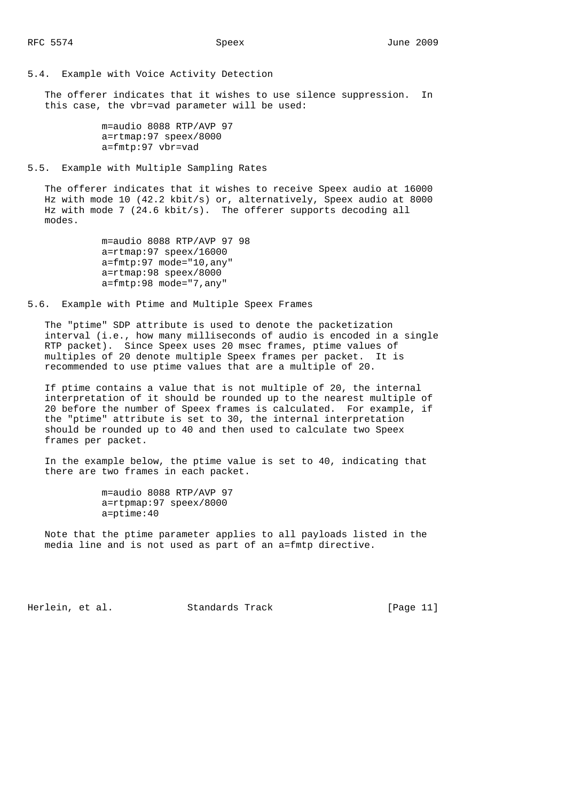### 5.4. Example with Voice Activity Detection

 The offerer indicates that it wishes to use silence suppression. In this case, the vbr=vad parameter will be used:

> m=audio 8088 RTP/AVP 97 a=rtmap:97 speex/8000 a=fmtp:97 vbr=vad

5.5. Example with Multiple Sampling Rates

 The offerer indicates that it wishes to receive Speex audio at 16000 Hz with mode 10 (42.2 kbit/s) or, alternatively, Speex audio at 8000 Hz with mode 7 (24.6 kbit/s). The offerer supports decoding all modes.

> m=audio 8088 RTP/AVP 97 98 a=rtmap:97 speex/16000 a=fmtp:97 mode="10,any" a=rtmap:98 speex/8000 a=fmtp:98 mode="7,any"

5.6. Example with Ptime and Multiple Speex Frames

 The "ptime" SDP attribute is used to denote the packetization interval (i.e., how many milliseconds of audio is encoded in a single RTP packet). Since Speex uses 20 msec frames, ptime values of multiples of 20 denote multiple Speex frames per packet. It is recommended to use ptime values that are a multiple of 20.

 If ptime contains a value that is not multiple of 20, the internal interpretation of it should be rounded up to the nearest multiple of 20 before the number of Speex frames is calculated. For example, if the "ptime" attribute is set to 30, the internal interpretation should be rounded up to 40 and then used to calculate two Speex frames per packet.

 In the example below, the ptime value is set to 40, indicating that there are two frames in each packet.

> m=audio 8088 RTP/AVP 97 a=rtpmap:97 speex/8000 a=ptime:40

 Note that the ptime parameter applies to all payloads listed in the media line and is not used as part of an a=fmtp directive.

Herlein, et al. Standards Track [Page 11]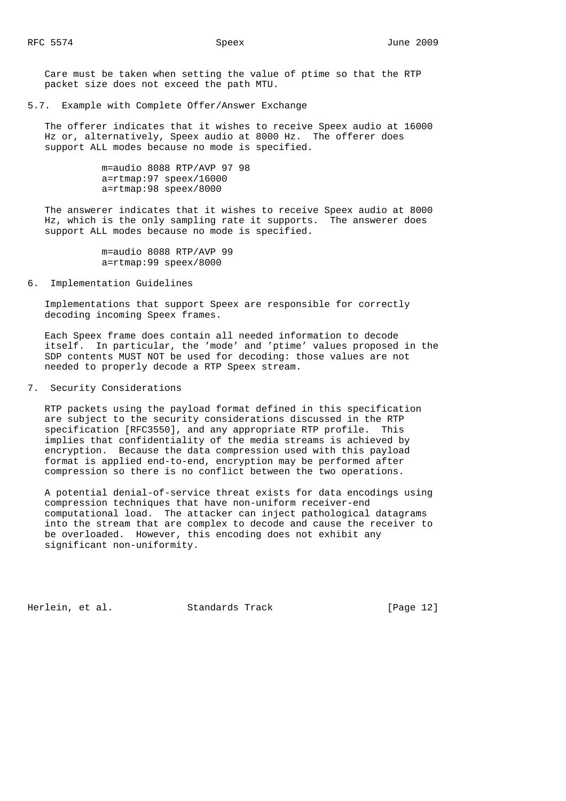Care must be taken when setting the value of ptime so that the RTP packet size does not exceed the path MTU.

5.7. Example with Complete Offer/Answer Exchange

 The offerer indicates that it wishes to receive Speex audio at 16000 Hz or, alternatively, Speex audio at 8000 Hz. The offerer does support ALL modes because no mode is specified.

> m=audio 8088 RTP/AVP 97 98 a=rtmap:97 speex/16000 a=rtmap:98 speex/8000

 The answerer indicates that it wishes to receive Speex audio at 8000 Hz, which is the only sampling rate it supports. The answerer does support ALL modes because no mode is specified.

> m=audio 8088 RTP/AVP 99 a=rtmap:99 speex/8000

6. Implementation Guidelines

 Implementations that support Speex are responsible for correctly decoding incoming Speex frames.

 Each Speex frame does contain all needed information to decode itself. In particular, the 'mode' and 'ptime' values proposed in the SDP contents MUST NOT be used for decoding: those values are not needed to properly decode a RTP Speex stream.

7. Security Considerations

 RTP packets using the payload format defined in this specification are subject to the security considerations discussed in the RTP specification [RFC3550], and any appropriate RTP profile. This implies that confidentiality of the media streams is achieved by encryption. Because the data compression used with this payload format is applied end-to-end, encryption may be performed after compression so there is no conflict between the two operations.

 A potential denial-of-service threat exists for data encodings using compression techniques that have non-uniform receiver-end computational load. The attacker can inject pathological datagrams into the stream that are complex to decode and cause the receiver to be overloaded. However, this encoding does not exhibit any significant non-uniformity.

Herlein, et al. Standards Track [Page 12]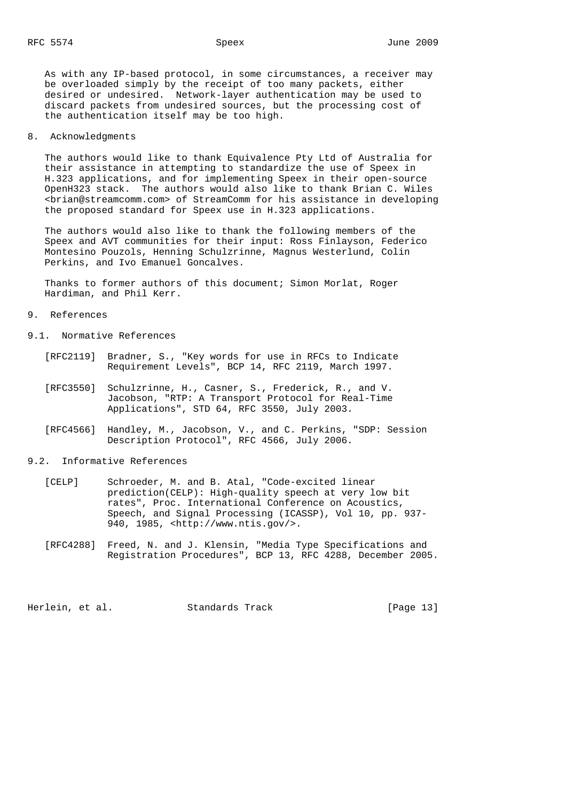As with any IP-based protocol, in some circumstances, a receiver may be overloaded simply by the receipt of too many packets, either desired or undesired. Network-layer authentication may be used to discard packets from undesired sources, but the processing cost of the authentication itself may be too high.

8. Acknowledgments

 The authors would like to thank Equivalence Pty Ltd of Australia for their assistance in attempting to standardize the use of Speex in H.323 applications, and for implementing Speex in their open-source OpenH323 stack. The authors would also like to thank Brian C. Wiles <brian@streamcomm.com> of StreamComm for his assistance in developing the proposed standard for Speex use in H.323 applications.

 The authors would also like to thank the following members of the Speex and AVT communities for their input: Ross Finlayson, Federico Montesino Pouzols, Henning Schulzrinne, Magnus Westerlund, Colin Perkins, and Ivo Emanuel Goncalves.

Thanks to former authors of this document; Simon Morlat, Roger Hardiman, and Phil Kerr.

#### 9. References

- 9.1. Normative References
	- [RFC2119] Bradner, S., "Key words for use in RFCs to Indicate Requirement Levels", BCP 14, RFC 2119, March 1997.
	- [RFC3550] Schulzrinne, H., Casner, S., Frederick, R., and V. Jacobson, "RTP: A Transport Protocol for Real-Time Applications", STD 64, RFC 3550, July 2003.
	- [RFC4566] Handley, M., Jacobson, V., and C. Perkins, "SDP: Session Description Protocol", RFC 4566, July 2006.
- 9.2. Informative References
	- [CELP] Schroeder, M. and B. Atal, "Code-excited linear prediction(CELP): High-quality speech at very low bit rates", Proc. International Conference on Acoustics, Speech, and Signal Processing (ICASSP), Vol 10, pp. 937- 940, 1985, <http://www.ntis.gov/>.
- [RFC4288] Freed, N. and J. Klensin, "Media Type Specifications and Registration Procedures", BCP 13, RFC 4288, December 2005.

Herlein, et al. Standards Track [Page 13]